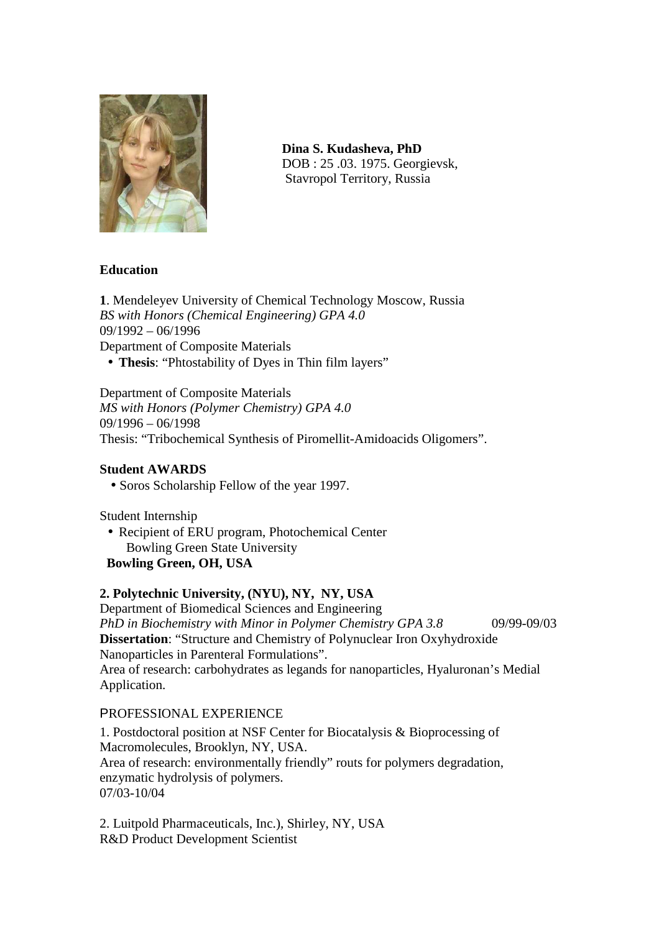

 **Dina S. Kudasheva, PhD**  DOB : 25 .03. 1975. Georgievsk, Stavropol Territory, Russia

# **Education**

**1**. Mendeleyev University of Chemical Technology Moscow, Russia *BS with Honors (Chemical Engineering) GPA 4.0* 09/1992 – 06/1996 Department of Composite Materials • **Thesis**: "Phtostability of Dyes in Thin film layers"

Department of Composite Materials *MS with Honors (Polymer Chemistry) GPA 4.0* 09/1996 – 06/1998 Thesis: "Tribochemical Synthesis of Piromellit-Amidoacids Oligomers".

#### **Student AWARDS**

• Soros Scholarship Fellow of the year 1997.

Student Internship

• Recipient of ERU program, Photochemical Center Bowling Green State University

# **Bowling Green, OH, USA**

# **2. Polytechnic University, (NYU), NY, NY, USA**

Department of Biomedical Sciences and Engineering *PhD in Biochemistry with Minor in Polymer Chemistry GPA 3.8* 09/99-09/03 **Dissertation**: "Structure and Chemistry of Polynuclear Iron Oxyhydroxide Nanoparticles in Parenteral Formulations". Area of research: carbohydrates as legands for nanoparticles, Hyaluronan's Medial Application.

#### PROFESSIONAL EXPERIENCE

1. Postdoctoral position at NSF Center for Biocatalysis & Bioprocessing of Macromolecules, Brooklyn, NY, USA. Area of research: environmentally friendly" routs for polymers degradation, enzymatic hydrolysis of polymers. 07/03-10/04

2. Luitpold Pharmaceuticals, Inc.), Shirley, NY, USA R&D Product Development Scientist